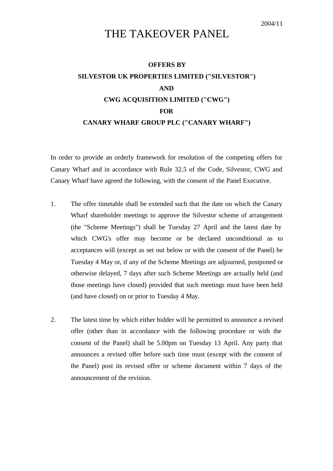## 2004/11

## THE TAKEOVER PANEL

## **OFFERS BY SILVESTOR UK PROPERTIES LIMITED ("SILVESTOR") AND CWG ACQUISITION LIMITED ("CWG") FOR CANARY WHARF GROUP PLC ("CANARY WHARF")**

In order to provide an orderly framework for resolution of the competing offers for Canary Wharf and in accordance with Rule 32.5 of the Code, Silvestor, CWG and Canary Wharf have agreed the following, with the consent of the Panel Executive.

- 1. The offer timetable shall be extended such that the date on which the Canary Wharf shareholder meetings to approve the Silvestor scheme of arrangement (the "Scheme Meetings") shall be Tuesday 27 April and the latest date by which CWG's offer may become or be declared unconditional as to acceptances will (except as set out below or with the consent of the Panel) be Tuesday 4 May or, if any of the Scheme Meetings are adjourned, postponed or otherwise delayed, 7 days after such Scheme Meetings are actually held (and those meetings have closed) provided that such meetings must have been held (and have closed) on or prior to Tuesday 4 May.
- 2. The latest time by which either bidder will be permitted to announce a revised offer (other than in accordance with the following procedure or with the consent of the Panel) shall be 5.00pm on Tuesday 13 April. Any party that announces a revised offer before such time must (except with the consent of the Panel) post its revised offer or scheme document within 7 days of the announcement of the revision.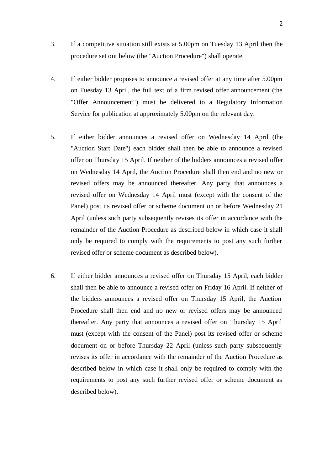- 3. If a competitive situation still exists at 5.00pm on Tuesday 13 April then the procedure set out below (the "Auction Procedure") shall operate.
- 4. If either bidder proposes to announce a revised offer at any time after 5.00pm on Tuesday 13 April, the full text of a firm revised offer announcement (the "Offer Announcement") must be delivered to a Regulatory Information Service for publication at approximately 5.00pm on the relevant day.
- 5. If either bidder announces a revised offer on Wednesday 14 April (the "Auction Start Date") each bidder shall then be able to announce a revised offer on Thursday 15 April. If neither of the bidders announces a revised offer on Wednesday 14 April, the Auction Procedure shall then end and no new or revised offers may be announced thereafter. Any party that announces a revised offer on Wednesday 14 April must (except with the consent of the Panel) post its revised offer or scheme document on or before Wednesday 21 April (unless such party subsequently revises its offer in accordance with the remainder of the Auction Procedure as described below in which case it shall only be required to comply with the requirements to post any such further revised offer or scheme document as described below).
- 6. If either bidder announces a revised offer on Thursday 15 April, each bidder shall then be able to announce a revised offer on Friday 16 April. If neither of the bidders announces a revised offer on Thursday 15 April, the Auction Procedure shall then end and no new or revised offers may be announced thereafter. Any party that announces a revised offer on Thursday 15 April must (except with the consent of the Panel) post its revised offer or scheme document on or before Thursday 22 April (unless such party subsequently revises its offer in accordance with the remainder of the Auction Procedure as described below in which case it shall only be required to comply with the requirements to post any such further revised offer or scheme document as described below).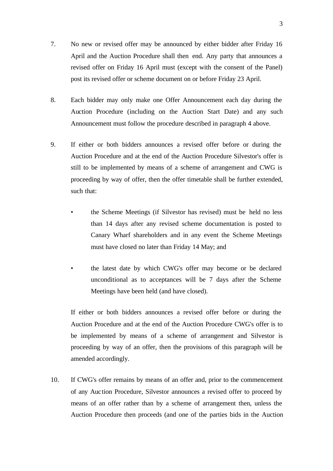- 7. No new or revised offer may be announced by either bidder after Friday 16 April and the Auction Procedure shall then end. Any party that announces a revised offer on Friday 16 April must (except with the consent of the Panel) post its revised offer or scheme document on or before Friday 23 April.
- 8. Each bidder may only make one Offer Announcement each day during the Auction Procedure (including on the Auction Start Date) and any such Announcement must follow the procedure described in paragraph 4 above.
- 9. If either or both bidders announces a revised offer before or during the Auction Procedure and at the end of the Auction Procedure Silvestor's offer is still to be implemented by means of a scheme of arrangement and CWG is proceeding by way of offer, then the offer timetable shall be further extended, such that:
	- the Scheme Meetings (if Silvestor has revised) must be held no less than 14 days after any revised scheme documentation is posted to Canary Wharf shareholders and in any event the Scheme Meetings must have closed no later than Friday 14 May; and
	- the latest date by which CWG's offer may become or be declared unconditional as to acceptances will be 7 days after the Scheme Meetings have been held (and have closed).

If either or both bidders announces a revised offer before or during the Auction Procedure and at the end of the Auction Procedure CWG's offer is to be implemented by means of a scheme of arrangement and Silvestor is proceeding by way of an offer, then the provisions of this paragraph will be amended accordingly.

10. If CWG's offer remains by means of an offer and, prior to the commencement of any Auction Procedure, Silvestor announces a revised offer to proceed by means of an offer rather than by a scheme of arrangement then, unless the Auction Procedure then proceeds (and one of the parties bids in the Auction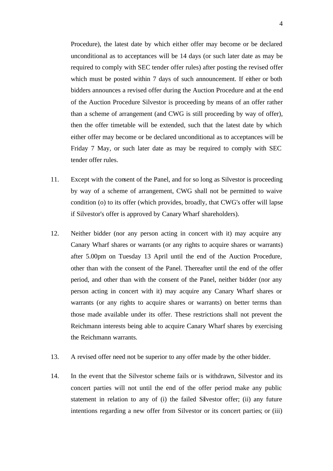Procedure), the latest date by which either offer may become or be declared unconditional as to acceptances will be 14 days (or such later date as may be required to comply with SEC tender offer rules) after posting the revised offer which must be posted within 7 days of such announcement. If either or both bidders announces a revised offer during the Auction Procedure and at the end of the Auction Procedure Silvestor is proceeding by means of an offer rather than a scheme of arrangement (and CWG is still proceeding by way of offer), then the offer timetable will be extended, such that the latest date by which either offer may become or be declared unconditional as to acceptances will be Friday 7 May, or such later date as may be required to comply with SEC tender offer rules.

- 11. Except with the consent of the Panel, and for so long as Silvestor is proceeding by way of a scheme of arrangement, CWG shall not be permitted to waive condition (o) to its offer (which provides, broadly, that CWG's offer will lapse if Silvestor's offer is approved by Canary Wharf shareholders).
- 12. Neither bidder (nor any person acting in concert with it) may acquire any Canary Wharf shares or warrants (or any rights to acquire shares or warrants) after 5.00pm on Tuesday 13 April until the end of the Auction Procedure, other than with the consent of the Panel. Thereafter until the end of the offer period, and other than with the consent of the Panel, neither bidder (nor any person acting in concert with it) may acquire any Canary Wharf shares or warrants (or any rights to acquire shares or warrants) on better terms than those made available under its offer. These restrictions shall not prevent the Reichmann interests being able to acquire Canary Wharf shares by exercising the Reichmann warrants.
- 13. A revised offer need not be superior to any offer made by the other bidder.
- 14. In the event that the Silvestor scheme fails or is withdrawn, Silvestor and its concert parties will not until the end of the offer period make any public statement in relation to any of (i) the failed Silvestor offer; (ii) any future intentions regarding a new offer from Silvestor or its concert parties; or (iii)